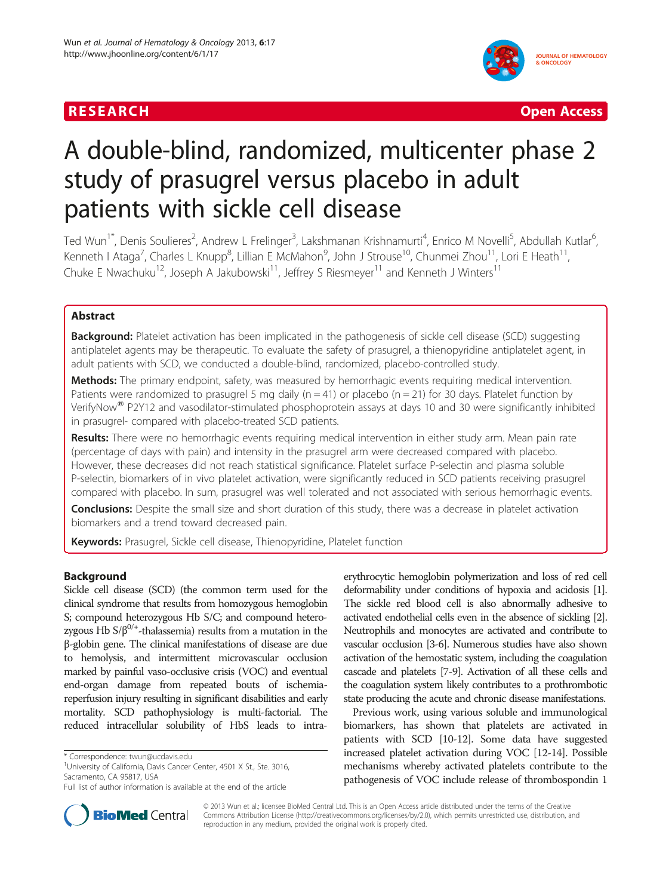## **RESEARCH CHINESE ARCH CHINESE ARCHITECT AND ACCESS**



# A double-blind, randomized, multicenter phase 2 study of prasugrel versus placebo in adult patients with sickle cell disease

Ted Wun<sup>1\*</sup>, Denis Soulieres<sup>2</sup>, Andrew L Frelinger<sup>3</sup>, Lakshmanan Krishnamurti<sup>4</sup>, Enrico M Novelli<sup>5</sup>, Abdullah Kutlar<sup>6</sup> , Kenneth I Ataga<sup>7</sup>, Charles L Knupp<sup>8</sup>, Lillian E McMahon<sup>9</sup>, John J Strouse<sup>10</sup>, Chunmei Zhou<sup>11</sup>, Lori E Heath<sup>11</sup>, Chuke E Nwachuku<sup>12</sup>, Joseph A Jakubowski<sup>11</sup>, Jeffrey S Riesmeyer<sup>11</sup> and Kenneth J Winters<sup>11</sup>

## Abstract

Background: Platelet activation has been implicated in the pathogenesis of sickle cell disease (SCD) suggesting antiplatelet agents may be therapeutic. To evaluate the safety of prasugrel, a thienopyridine antiplatelet agent, in adult patients with SCD, we conducted a double-blind, randomized, placebo-controlled study.

Methods: The primary endpoint, safety, was measured by hemorrhagic events requiring medical intervention. Patients were randomized to prasugrel 5 mg daily ( $n = 41$ ) or placebo ( $n = 21$ ) for 30 days. Platelet function by VerifyNow<sup>®</sup> P2Y12 and vasodilator-stimulated phosphoprotein assays at days 10 and 30 were significantly inhibited in prasugrel- compared with placebo-treated SCD patients.

Results: There were no hemorrhagic events requiring medical intervention in either study arm. Mean pain rate (percentage of days with pain) and intensity in the prasugrel arm were decreased compared with placebo. However, these decreases did not reach statistical significance. Platelet surface P-selectin and plasma soluble P-selectin, biomarkers of in vivo platelet activation, were significantly reduced in SCD patients receiving prasugrel compared with placebo. In sum, prasugrel was well tolerated and not associated with serious hemorrhagic events.

Conclusions: Despite the small size and short duration of this study, there was a decrease in platelet activation biomarkers and a trend toward decreased pain.

Keywords: Prasugrel, Sickle cell disease, Thienopyridine, Platelet function

## Background

Sickle cell disease (SCD) (the common term used for the clinical syndrome that results from homozygous hemoglobin S; compound heterozygous Hb S/C; and compound heterozygous Hb  $S/\beta^{0/+}$ -thalassemia) results from a mutation in the β-globin gene. The clinical manifestations of disease are due to hemolysis, and intermittent microvascular occlusion marked by painful vaso-occlusive crisis (VOC) and eventual end-organ damage from repeated bouts of ischemiareperfusion injury resulting in significant disabilities and early mortality. SCD pathophysiology is multi-factorial. The reduced intracellular solubility of HbS leads to intra-

erythrocytic hemoglobin polymerization and loss of red cell deformability under conditions of hypoxia and acidosis [\[1\]](#page-9-0). The sickle red blood cell is also abnormally adhesive to activated endothelial cells even in the absence of sickling [\[2\]](#page-9-0). Neutrophils and monocytes are activated and contribute to vascular occlusion [\[3-6](#page-9-0)]. Numerous studies have also shown activation of the hemostatic system, including the coagulation cascade and platelets [\[7-9\]](#page-9-0). Activation of all these cells and the coagulation system likely contributes to a prothrombotic state producing the acute and chronic disease manifestations.

Previous work, using various soluble and immunological biomarkers, has shown that platelets are activated in patients with SCD [\[10-12\]](#page-9-0). Some data have suggested increased platelet activation during VOC [\[12-14](#page-9-0)]. Possible mechanisms whereby activated platelets contribute to the pathogenesis of VOC include release of thrombospondin 1



© 2013 Wun et al.; licensee BioMed Central Ltd. This is an Open Access article distributed under the terms of the Creative Commons Attribution License [\(http://creativecommons.org/licenses/by/2.0\)](http://creativecommons.org/licenses/by/2.0), which permits unrestricted use, distribution, and reproduction in any medium, provided the original work is properly cited.

<sup>\*</sup> Correspondence: [twun@ucdavis.edu](mailto:twun@ucdavis.edu) <sup>1</sup>

<sup>&</sup>lt;sup>1</sup>University of California, Davis Cancer Center, 4501 X St., Ste. 3016, Sacramento, CA 95817, USA

Full list of author information is available at the end of the article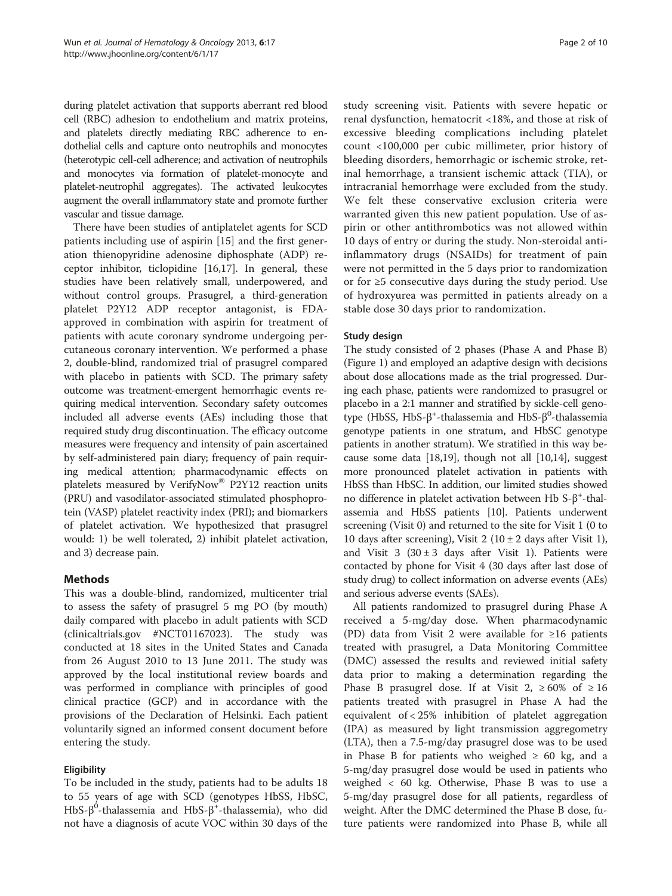during platelet activation that supports aberrant red blood cell (RBC) adhesion to endothelium and matrix proteins, and platelets directly mediating RBC adherence to endothelial cells and capture onto neutrophils and monocytes (heterotypic cell-cell adherence; and activation of neutrophils and monocytes via formation of platelet-monocyte and platelet-neutrophil aggregates). The activated leukocytes augment the overall inflammatory state and promote further vascular and tissue damage.

There have been studies of antiplatelet agents for SCD patients including use of aspirin [\[15\]](#page-9-0) and the first generation thienopyridine adenosine diphosphate (ADP) receptor inhibitor, ticlopidine [[16,17\]](#page-9-0). In general, these studies have been relatively small, underpowered, and without control groups. Prasugrel, a third-generation platelet P2Y12 ADP receptor antagonist, is FDAapproved in combination with aspirin for treatment of patients with acute coronary syndrome undergoing percutaneous coronary intervention. We performed a phase 2, double-blind, randomized trial of prasugrel compared with placebo in patients with SCD. The primary safety outcome was treatment-emergent hemorrhagic events requiring medical intervention. Secondary safety outcomes included all adverse events (AEs) including those that required study drug discontinuation. The efficacy outcome measures were frequency and intensity of pain ascertained by self-administered pain diary; frequency of pain requiring medical attention; pharmacodynamic effects on platelets measured by VerifyNow<sup>®</sup> P2Y12 reaction units (PRU) and vasodilator-associated stimulated phosphoprotein (VASP) platelet reactivity index (PRI); and biomarkers of platelet activation. We hypothesized that prasugrel would: 1) be well tolerated, 2) inhibit platelet activation, and 3) decrease pain.

## Methods

This was a double-blind, randomized, multicenter trial to assess the safety of prasugrel 5 mg PO (by mouth) daily compared with placebo in adult patients with SCD (clinicaltrials.gov #NCT01167023). The study was conducted at 18 sites in the United States and Canada from 26 August 2010 to 13 June 2011. The study was approved by the local institutional review boards and was performed in compliance with principles of good clinical practice (GCP) and in accordance with the provisions of the Declaration of Helsinki. Each patient voluntarily signed an informed consent document before entering the study.

## Eligibility

To be included in the study, patients had to be adults 18 to 55 years of age with SCD (genotypes HbSS, HbSC, HbS-β<sup>0</sup>-thalassemia and HbS-β<sup>+</sup>-thalassemia), who did not have a diagnosis of acute VOC within 30 days of the study screening visit. Patients with severe hepatic or renal dysfunction, hematocrit <18%, and those at risk of excessive bleeding complications including platelet count <100,000 per cubic millimeter, prior history of bleeding disorders, hemorrhagic or ischemic stroke, retinal hemorrhage, a transient ischemic attack (TIA), or intracranial hemorrhage were excluded from the study. We felt these conservative exclusion criteria were warranted given this new patient population. Use of aspirin or other antithrombotics was not allowed within 10 days of entry or during the study. Non-steroidal antiinflammatory drugs (NSAIDs) for treatment of pain were not permitted in the 5 days prior to randomization or for ≥5 consecutive days during the study period. Use of hydroxyurea was permitted in patients already on a stable dose 30 days prior to randomization.

## Study design

The study consisted of 2 phases (Phase A and Phase B) (Figure [1\)](#page-2-0) and employed an adaptive design with decisions about dose allocations made as the trial progressed. During each phase, patients were randomized to prasugrel or placebo in a 2:1 manner and stratified by sickle-cell genotype (HbSS, HbS-β<sup>+</sup>-thalassemia and HbS-β<sup>0</sup>-thalassemia genotype patients in one stratum, and HbSC genotype patients in another stratum). We stratified in this way because some data [[18,19\]](#page-9-0), though not all [\[10,14\]](#page-9-0), suggest more pronounced platelet activation in patients with HbSS than HbSC. In addition, our limited studies showed no difference in platelet activation between Hb S-β<sup>+</sup> -thalassemia and HbSS patients [\[10\]](#page-9-0). Patients underwent screening (Visit 0) and returned to the site for Visit 1 (0 to 10 days after screening), Visit 2 ( $10 \pm 2$  days after Visit 1), and Visit 3 ( $30 \pm 3$  days after Visit 1). Patients were contacted by phone for Visit 4 (30 days after last dose of study drug) to collect information on adverse events (AEs) and serious adverse events (SAEs).

All patients randomized to prasugrel during Phase A received a 5-mg/day dose. When pharmacodynamic (PD) data from Visit 2 were available for ≥16 patients treated with prasugrel, a Data Monitoring Committee (DMC) assessed the results and reviewed initial safety data prior to making a determination regarding the Phase B prasugrel dose. If at Visit 2,  $\geq 60\%$  of  $\geq 16$ patients treated with prasugrel in Phase A had the equivalent of < 25% inhibition of platelet aggregation (IPA) as measured by light transmission aggregometry (LTA), then a 7.5-mg/day prasugrel dose was to be used in Phase B for patients who weighed  $\geq 60$  kg, and a 5-mg/day prasugrel dose would be used in patients who weighed < 60 kg. Otherwise, Phase B was to use a 5-mg/day prasugrel dose for all patients, regardless of weight. After the DMC determined the Phase B dose, future patients were randomized into Phase B, while all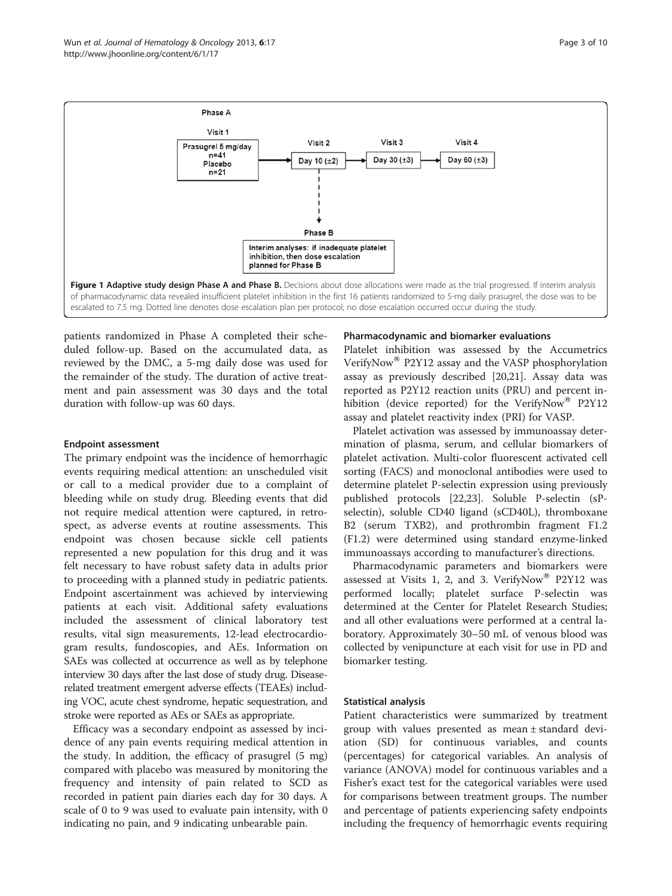<span id="page-2-0"></span>

patients randomized in Phase A completed their scheduled follow-up. Based on the accumulated data, as reviewed by the DMC, a 5-mg daily dose was used for the remainder of the study. The duration of active treatment and pain assessment was 30 days and the total duration with follow-up was 60 days.

#### Endpoint assessment

The primary endpoint was the incidence of hemorrhagic events requiring medical attention: an unscheduled visit or call to a medical provider due to a complaint of bleeding while on study drug. Bleeding events that did not require medical attention were captured, in retrospect, as adverse events at routine assessments. This endpoint was chosen because sickle cell patients represented a new population for this drug and it was felt necessary to have robust safety data in adults prior to proceeding with a planned study in pediatric patients. Endpoint ascertainment was achieved by interviewing patients at each visit. Additional safety evaluations included the assessment of clinical laboratory test results, vital sign measurements, 12-lead electrocardiogram results, fundoscopies, and AEs. Information on SAEs was collected at occurrence as well as by telephone interview 30 days after the last dose of study drug. Diseaserelated treatment emergent adverse effects (TEAEs) including VOC, acute chest syndrome, hepatic sequestration, and stroke were reported as AEs or SAEs as appropriate.

Efficacy was a secondary endpoint as assessed by incidence of any pain events requiring medical attention in the study. In addition, the efficacy of prasugrel (5 mg) compared with placebo was measured by monitoring the frequency and intensity of pain related to SCD as recorded in patient pain diaries each day for 30 days. A scale of 0 to 9 was used to evaluate pain intensity, with 0 indicating no pain, and 9 indicating unbearable pain.

#### Pharmacodynamic and biomarker evaluations

Platelet inhibition was assessed by the Accumetrics VerifyNow<sup>®</sup> P2Y12 assay and the VASP phosphorylation assay as previously described [\[20,21](#page-9-0)]. Assay data was reported as P2Y12 reaction units (PRU) and percent inhibition (device reported) for the VerifyNow® P2Y12 assay and platelet reactivity index (PRI) for VASP.

Platelet activation was assessed by immunoassay determination of plasma, serum, and cellular biomarkers of platelet activation. Multi-color fluorescent activated cell sorting (FACS) and monoclonal antibodies were used to determine platelet P-selectin expression using previously published protocols [[22](#page-9-0),[23](#page-9-0)]. Soluble P-selectin (sPselectin), soluble CD40 ligand (sCD40L), thromboxane B2 (serum TXB2), and prothrombin fragment F1.2 (F1.2) were determined using standard enzyme-linked immunoassays according to manufacturer's directions.

Pharmacodynamic parameters and biomarkers were assessed at Visits 1, 2, and 3. VerifyNow<sup>®</sup> P2Y12 was performed locally; platelet surface P-selectin was determined at the Center for Platelet Research Studies; and all other evaluations were performed at a central laboratory. Approximately 30–50 mL of venous blood was collected by venipuncture at each visit for use in PD and biomarker testing.

#### Statistical analysis

Patient characteristics were summarized by treatment group with values presented as mean ± standard deviation (SD) for continuous variables, and counts (percentages) for categorical variables. An analysis of variance (ANOVA) model for continuous variables and a Fisher's exact test for the categorical variables were used for comparisons between treatment groups. The number and percentage of patients experiencing safety endpoints including the frequency of hemorrhagic events requiring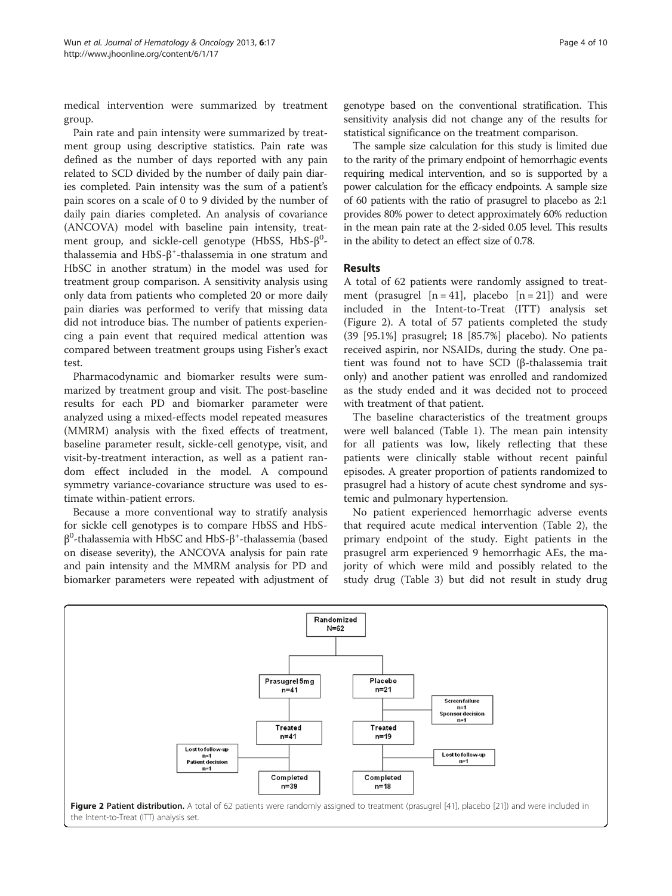medical intervention were summarized by treatment group.

Pain rate and pain intensity were summarized by treatment group using descriptive statistics. Pain rate was defined as the number of days reported with any pain related to SCD divided by the number of daily pain diaries completed. Pain intensity was the sum of a patient's pain scores on a scale of 0 to 9 divided by the number of daily pain diaries completed. An analysis of covariance (ANCOVA) model with baseline pain intensity, treatment group, and sickle-cell genotype (HbSS, HbS- $\beta^{0}$ thalassemia and HbS-β<sup>+</sup>-thalassemia in one stratum and HbSC in another stratum) in the model was used for treatment group comparison. A sensitivity analysis using only data from patients who completed 20 or more daily pain diaries was performed to verify that missing data did not introduce bias. The number of patients experiencing a pain event that required medical attention was compared between treatment groups using Fisher's exact test.

Pharmacodynamic and biomarker results were summarized by treatment group and visit. The post-baseline results for each PD and biomarker parameter were analyzed using a mixed-effects model repeated measures (MMRM) analysis with the fixed effects of treatment, baseline parameter result, sickle-cell genotype, visit, and visit-by-treatment interaction, as well as a patient random effect included in the model. A compound symmetry variance-covariance structure was used to estimate within-patient errors.

Because a more conventional way to stratify analysis for sickle cell genotypes is to compare HbSS and HbS $β<sup>0</sup>$ -thalassemia with HbSC and HbS- $β<sup>+</sup>$ -thalassemia (based on disease severity), the ANCOVA analysis for pain rate and pain intensity and the MMRM analysis for PD and biomarker parameters were repeated with adjustment of

genotype based on the conventional stratification. This sensitivity analysis did not change any of the results for statistical significance on the treatment comparison.

The sample size calculation for this study is limited due to the rarity of the primary endpoint of hemorrhagic events requiring medical intervention, and so is supported by a power calculation for the efficacy endpoints. A sample size of 60 patients with the ratio of prasugrel to placebo as 2:1 provides 80% power to detect approximately 60% reduction in the mean pain rate at the 2-sided 0.05 level. This results in the ability to detect an effect size of 0.78.

## Results

A total of 62 patients were randomly assigned to treatment (prasugrel  $[n = 41]$ , placebo  $[n = 21]$ ) and were included in the Intent-to-Treat (ITT) analysis set (Figure 2). A total of 57 patients completed the study (39 [95.1%] prasugrel; 18 [85.7%] placebo). No patients received aspirin, nor NSAIDs, during the study. One patient was found not to have SCD (β-thalassemia trait only) and another patient was enrolled and randomized as the study ended and it was decided not to proceed with treatment of that patient.

The baseline characteristics of the treatment groups were well balanced (Table [1](#page-4-0)). The mean pain intensity for all patients was low, likely reflecting that these patients were clinically stable without recent painful episodes. A greater proportion of patients randomized to prasugrel had a history of acute chest syndrome and systemic and pulmonary hypertension.

No patient experienced hemorrhagic adverse events that required acute medical intervention (Table [2\)](#page-5-0), the primary endpoint of the study. Eight patients in the prasugrel arm experienced 9 hemorrhagic AEs, the majority of which were mild and possibly related to the study drug (Table [3](#page-5-0)) but did not result in study drug

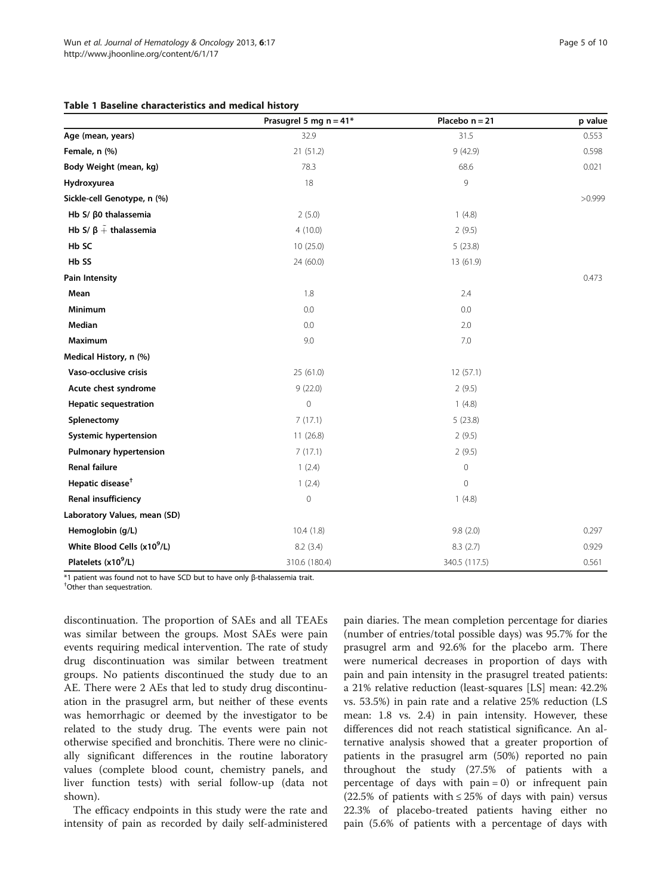## <span id="page-4-0"></span>Table 1 Baseline characteristics and medical history

|                                         | Prasugrel 5 mg $n = 41*$ | Placebo $n = 21$    | p value |
|-----------------------------------------|--------------------------|---------------------|---------|
| Age (mean, years)                       | 32.9                     | 31.5                | 0.553   |
| Female, n (%)                           | 21 (51.2)                | 9(42.9)             | 0.598   |
| Body Weight (mean, kg)                  | 78.3                     | 68.6                | 0.021   |
| Hydroxyurea                             | 18                       | 9                   |         |
| Sickle-cell Genotype, n (%)             |                          |                     | >0.999  |
| Hb S/ $β$ 0 thalassemia                 | 2(5.0)                   | 1(4.8)              |         |
| Hb S/ $\beta +$ thalassemia             | 4(10.0)                  | 2(9.5)              |         |
| Hb SC                                   | 10(25.0)                 | 5(23.8)             |         |
| Hb SS                                   | 24 (60.0)                | 13 (61.9)           |         |
| <b>Pain Intensity</b>                   |                          |                     | 0.473   |
| Mean                                    | 1.8                      | 2.4                 |         |
| Minimum                                 | 0.0                      | 0.0                 |         |
| Median                                  | 0.0                      | 2.0                 |         |
| Maximum                                 | 9.0                      | 7.0                 |         |
| Medical History, n (%)                  |                          |                     |         |
| Vaso-occlusive crisis                   | 25 (61.0)                | 12(57.1)            |         |
| Acute chest syndrome                    | 9(22.0)                  | 2(9.5)              |         |
| <b>Hepatic sequestration</b>            | $\mathbf 0$              | 1(4.8)              |         |
| Splenectomy                             | 7(17.1)                  | 5(23.8)             |         |
| <b>Systemic hypertension</b>            | 11(26.8)                 | 2(9.5)              |         |
| <b>Pulmonary hypertension</b>           | 7(17.1)                  | 2(9.5)              |         |
| <b>Renal failure</b>                    | 1(2.4)                   | $\mathsf{O}\xspace$ |         |
| Hepatic disease <sup>+</sup>            | 1(2.4)                   | $\mathbf{0}$        |         |
| Renal insufficiency                     | $\mathbf 0$              | 1(4.8)              |         |
| Laboratory Values, mean (SD)            |                          |                     |         |
| Hemoglobin (g/L)                        | 10.4(1.8)<br>9.8(2.0)    |                     | 0.297   |
| White Blood Cells (x10 <sup>9</sup> /L) | 8.2(3.4)                 | 8.3(2.7)<br>0.929   |         |
| Platelets (x10 <sup>9</sup> /L)         | 310.6 (180.4)            | 340.5 (117.5)       | 0.561   |

\*1 patient was found not to have SCD but to have only <sup>β</sup>-thalassemia trait. †

Other than sequestration.

discontinuation. The proportion of SAEs and all TEAEs was similar between the groups. Most SAEs were pain events requiring medical intervention. The rate of study drug discontinuation was similar between treatment groups. No patients discontinued the study due to an AE. There were 2 AEs that led to study drug discontinuation in the prasugrel arm, but neither of these events was hemorrhagic or deemed by the investigator to be related to the study drug. The events were pain not otherwise specified and bronchitis. There were no clinically significant differences in the routine laboratory values (complete blood count, chemistry panels, and liver function tests) with serial follow-up (data not shown).

The efficacy endpoints in this study were the rate and intensity of pain as recorded by daily self-administered pain diaries. The mean completion percentage for diaries (number of entries/total possible days) was 95.7% for the prasugrel arm and 92.6% for the placebo arm. There were numerical decreases in proportion of days with pain and pain intensity in the prasugrel treated patients: a 21% relative reduction (least-squares [LS] mean: 42.2% vs. 53.5%) in pain rate and a relative 25% reduction (LS mean: 1.8 vs. 2.4) in pain intensity. However, these differences did not reach statistical significance. An alternative analysis showed that a greater proportion of patients in the prasugrel arm (50%) reported no pain throughout the study (27.5% of patients with a percentage of days with  $pain = 0)$  or infrequent pain  $(22.5\% \text{ of patients with } \leq 25\% \text{ of days with pain}) \text{ versus}$ 22.3% of placebo-treated patients having either no pain (5.6% of patients with a percentage of days with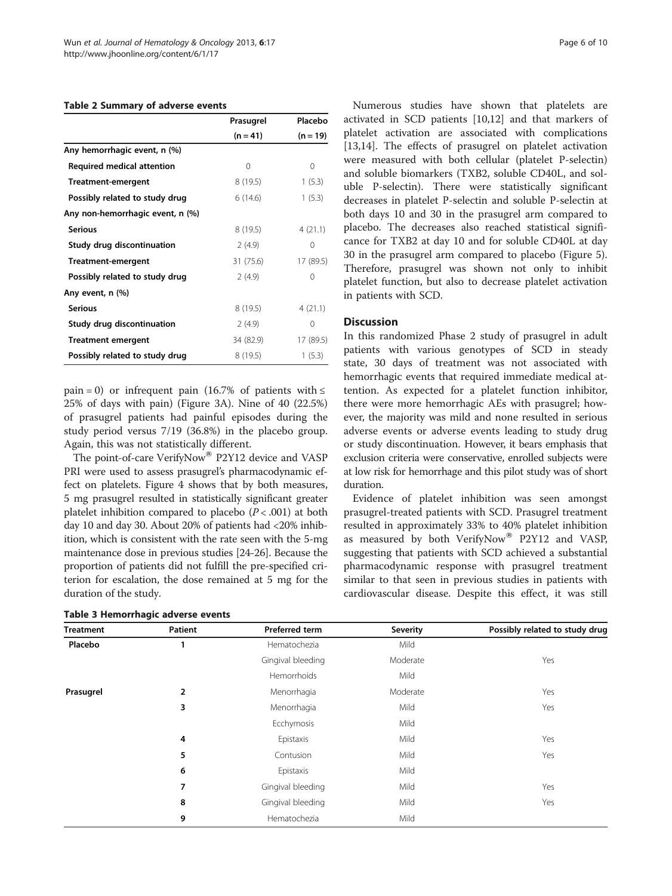#### <span id="page-5-0"></span>Table 2 Summary of adverse events

|                                   | Prasugrel  | Placebo   |  |
|-----------------------------------|------------|-----------|--|
|                                   | $(n = 41)$ | (n = 19)  |  |
| Any hemorrhagic event, n (%)      |            |           |  |
| <b>Required medical attention</b> | 0          | 0         |  |
| Treatment-emergent                | 8 (19.5)   | 1(5.3)    |  |
| Possibly related to study drug    | 6(14.6)    | 1(5.3)    |  |
| Any non-hemorrhagic event, n (%)  |            |           |  |
| <b>Serious</b>                    | 8(19.5)    | 4(21.1)   |  |
| Study drug discontinuation        | 2(4.9)     | 0         |  |
| Treatment-emergent                | 31 (75.6)  | 17 (89.5) |  |
| Possibly related to study drug    | 2(4.9)     | 0         |  |
| Any event, n (%)                  |            |           |  |
| <b>Serious</b>                    | 8 (19.5)   | 4(21.1)   |  |
| Study drug discontinuation        | 2(4.9)     | 0         |  |
| <b>Treatment emergent</b>         | 34 (82.9)  | 17 (89.5) |  |
| Possibly related to study drug    | 8 (19.5)   | 1(5.3)    |  |

pain = 0) or infrequent pain (16.7% of patients with  $\leq$ 25% of days with pain) (Figure [3A](#page-6-0)). Nine of 40 (22.5%) of prasugrel patients had painful episodes during the study period versus 7/19 (36.8%) in the placebo group. Again, this was not statistically different.

The point-of-care VerifyNow® P2Y12 device and VASP PRI were used to assess prasugrel's pharmacodynamic effect on platelets. Figure [4](#page-6-0) shows that by both measures, 5 mg prasugrel resulted in statistically significant greater platelet inhibition compared to placebo  $(P < .001)$  at both day 10 and day 30. About 20% of patients had <20% inhibition, which is consistent with the rate seen with the 5-mg maintenance dose in previous studies [\[24](#page-9-0)-[26](#page-9-0)]. Because the proportion of patients did not fulfill the pre-specified criterion for escalation, the dose remained at 5 mg for the duration of the study.

|  | Table 3 Hemorrhagic adverse events |  |  |
|--|------------------------------------|--|--|
|--|------------------------------------|--|--|

Numerous studies have shown that platelets are activated in SCD patients [\[10,12](#page-9-0)] and that markers of platelet activation are associated with complications [[13,14\]](#page-9-0). The effects of prasugrel on platelet activation were measured with both cellular (platelet P-selectin) and soluble biomarkers (TXB2, soluble CD40L, and soluble P-selectin). There were statistically significant decreases in platelet P-selectin and soluble P-selectin at both days 10 and 30 in the prasugrel arm compared to placebo. The decreases also reached statistical significance for TXB2 at day 10 and for soluble CD40L at day 30 in the prasugrel arm compared to placebo (Figure [5](#page-7-0)). Therefore, prasugrel was shown not only to inhibit platelet function, but also to decrease platelet activation in patients with SCD.

### **Discussion**

In this randomized Phase 2 study of prasugrel in adult patients with various genotypes of SCD in steady state, 30 days of treatment was not associated with hemorrhagic events that required immediate medical attention. As expected for a platelet function inhibitor, there were more hemorrhagic AEs with prasugrel; however, the majority was mild and none resulted in serious adverse events or adverse events leading to study drug or study discontinuation. However, it bears emphasis that exclusion criteria were conservative, enrolled subjects were at low risk for hemorrhage and this pilot study was of short duration.

Evidence of platelet inhibition was seen amongst prasugrel-treated patients with SCD. Prasugrel treatment resulted in approximately 33% to 40% platelet inhibition as measured by both VerifyNow® P2Y12 and VASP, suggesting that patients with SCD achieved a substantial pharmacodynamic response with prasugrel treatment similar to that seen in previous studies in patients with cardiovascular disease. Despite this effect, it was still

| <b>Treatment</b> | Patient | <b>Preferred term</b> | <b>Severity</b> | Possibly related to study drug |
|------------------|---------|-----------------------|-----------------|--------------------------------|
| Placebo          | ı       | Hematochezia          | Mild            |                                |
|                  |         | Gingival bleeding     | Moderate        | Yes                            |
|                  |         | Hemorrhoids           | Mild            |                                |
| Prasugrel        | 2       | Menorrhagia           | Moderate        | Yes                            |
|                  | 3       | Menorrhagia           | Mild            | Yes                            |
|                  |         | Ecchymosis            | Mild            |                                |
|                  | 4       | Epistaxis             | Mild            | Yes                            |
|                  | 5       | Contusion             | Mild            | Yes                            |
|                  | 6       | Epistaxis             | Mild            |                                |
|                  | 7       | Gingival bleeding     | Mild            | Yes                            |
|                  | 8       | Gingival bleeding     | Mild            | Yes                            |
|                  | 9       | Hematochezia          | Mild            |                                |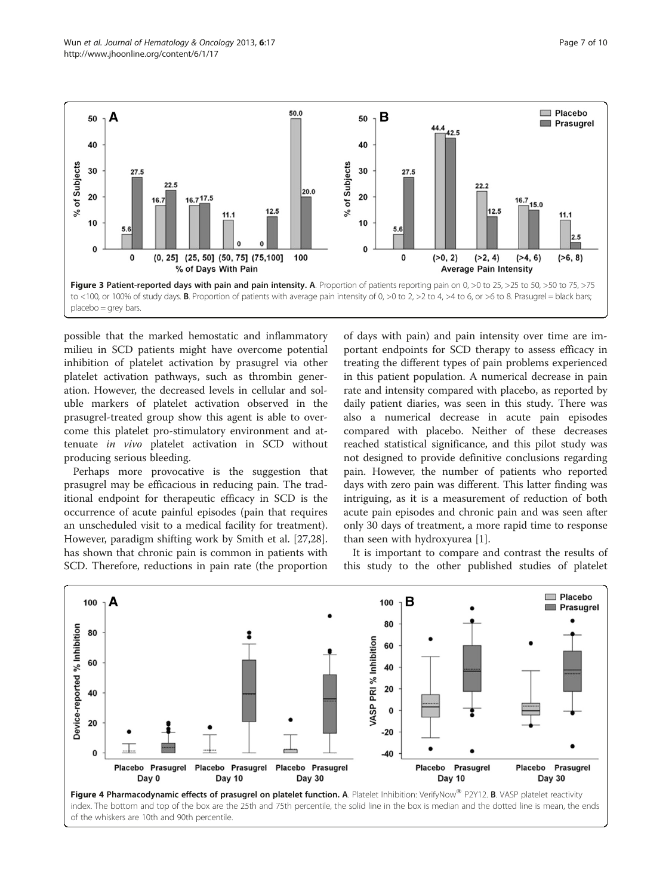<span id="page-6-0"></span>

possible that the marked hemostatic and inflammatory milieu in SCD patients might have overcome potential inhibition of platelet activation by prasugrel via other platelet activation pathways, such as thrombin generation. However, the decreased levels in cellular and soluble markers of platelet activation observed in the prasugrel-treated group show this agent is able to overcome this platelet pro-stimulatory environment and attenuate in vivo platelet activation in SCD without producing serious bleeding.

Perhaps more provocative is the suggestion that prasugrel may be efficacious in reducing pain. The traditional endpoint for therapeutic efficacy in SCD is the occurrence of acute painful episodes (pain that requires an unscheduled visit to a medical facility for treatment). However, paradigm shifting work by Smith et al. [\[27,28](#page-9-0)]. has shown that chronic pain is common in patients with SCD. Therefore, reductions in pain rate (the proportion of days with pain) and pain intensity over time are important endpoints for SCD therapy to assess efficacy in treating the different types of pain problems experienced in this patient population. A numerical decrease in pain rate and intensity compared with placebo, as reported by daily patient diaries, was seen in this study. There was also a numerical decrease in acute pain episodes compared with placebo. Neither of these decreases reached statistical significance, and this pilot study was not designed to provide definitive conclusions regarding pain. However, the number of patients who reported days with zero pain was different. This latter finding was intriguing, as it is a measurement of reduction of both acute pain episodes and chronic pain and was seen after only 30 days of treatment, a more rapid time to response than seen with hydroxyurea [[1\]](#page-9-0).

It is important to compare and contrast the results of this study to the other published studies of platelet



Figure 4 Pharmacodynamic effects of prasugrel on platelet function. A. Platelet Inhibition: VerifyNow® P2Y12. B. VASP platelet reactivity index. The bottom and top of the box are the 25th and 75th percentile, the solid line in the box is median and the dotted line is mean, the ends of the whiskers are 10th and 90th percentile.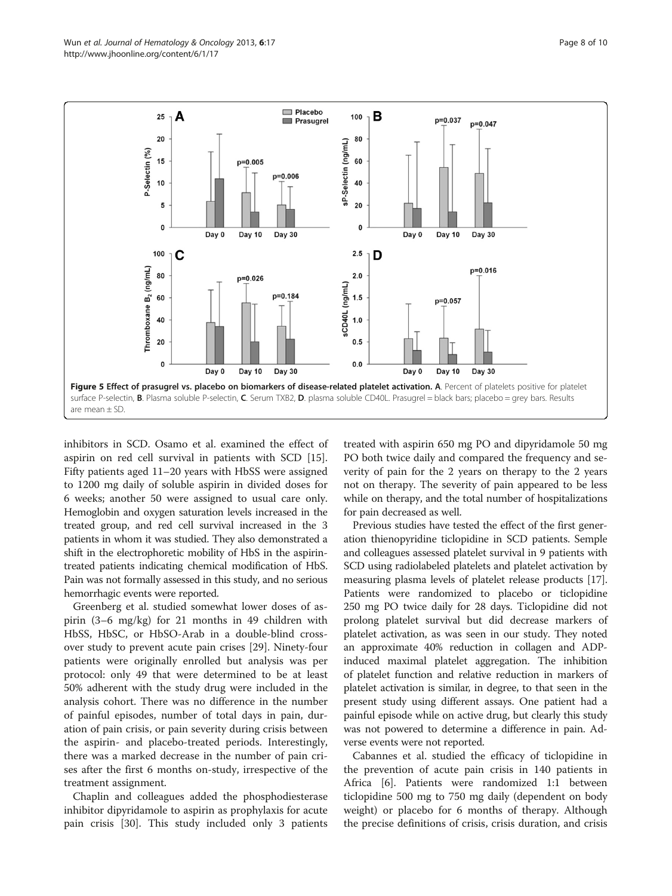<span id="page-7-0"></span>

inhibitors in SCD. Osamo et al. examined the effect of aspirin on red cell survival in patients with SCD [\[15](#page-9-0)]. Fifty patients aged 11–20 years with HbSS were assigned to 1200 mg daily of soluble aspirin in divided doses for 6 weeks; another 50 were assigned to usual care only. Hemoglobin and oxygen saturation levels increased in the treated group, and red cell survival increased in the 3 patients in whom it was studied. They also demonstrated a shift in the electrophoretic mobility of HbS in the aspirintreated patients indicating chemical modification of HbS. Pain was not formally assessed in this study, and no serious hemorrhagic events were reported.

Greenberg et al. studied somewhat lower doses of aspirin (3–6 mg/kg) for 21 months in 49 children with HbSS, HbSC, or HbSO-Arab in a double-blind crossover study to prevent acute pain crises [\[29\]](#page-9-0). Ninety-four patients were originally enrolled but analysis was per protocol: only 49 that were determined to be at least 50% adherent with the study drug were included in the analysis cohort. There was no difference in the number of painful episodes, number of total days in pain, duration of pain crisis, or pain severity during crisis between the aspirin- and placebo-treated periods. Interestingly, there was a marked decrease in the number of pain crises after the first 6 months on-study, irrespective of the treatment assignment.

Chaplin and colleagues added the phosphodiesterase inhibitor dipyridamole to aspirin as prophylaxis for acute pain crisis [\[30\]](#page-9-0). This study included only 3 patients treated with aspirin 650 mg PO and dipyridamole 50 mg PO both twice daily and compared the frequency and severity of pain for the 2 years on therapy to the 2 years not on therapy. The severity of pain appeared to be less while on therapy, and the total number of hospitalizations for pain decreased as well.

Previous studies have tested the effect of the first generation thienopyridine ticlopidine in SCD patients. Semple and colleagues assessed platelet survival in 9 patients with SCD using radiolabeled platelets and platelet activation by measuring plasma levels of platelet release products [[17](#page-9-0)]. Patients were randomized to placebo or ticlopidine 250 mg PO twice daily for 28 days. Ticlopidine did not prolong platelet survival but did decrease markers of platelet activation, as was seen in our study. They noted an approximate 40% reduction in collagen and ADPinduced maximal platelet aggregation. The inhibition of platelet function and relative reduction in markers of platelet activation is similar, in degree, to that seen in the present study using different assays. One patient had a painful episode while on active drug, but clearly this study was not powered to determine a difference in pain. Adverse events were not reported.

Cabannes et al. studied the efficacy of ticlopidine in the prevention of acute pain crisis in 140 patients in Africa [[6\]](#page-9-0). Patients were randomized 1:1 between ticlopidine 500 mg to 750 mg daily (dependent on body weight) or placebo for 6 months of therapy. Although the precise definitions of crisis, crisis duration, and crisis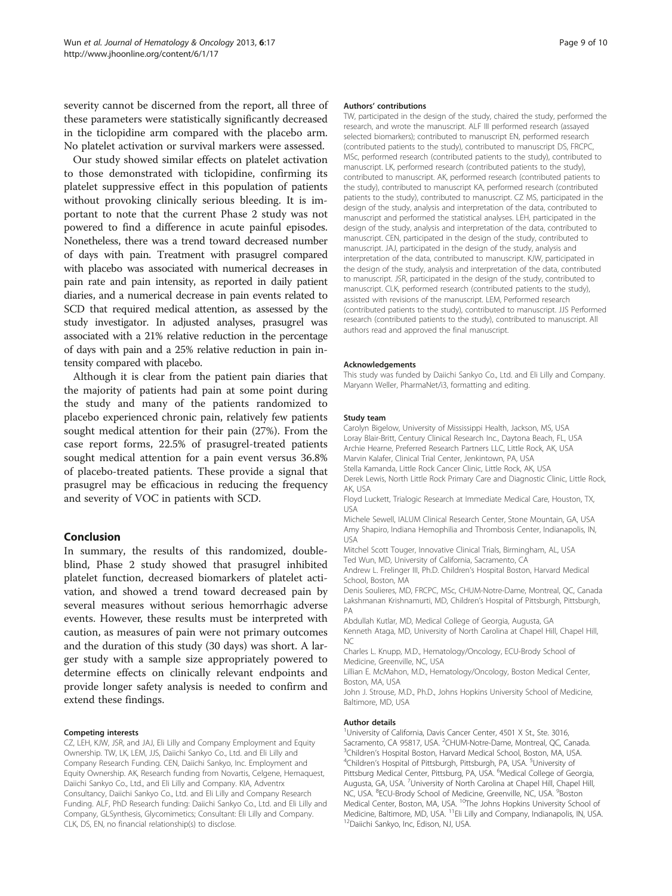severity cannot be discerned from the report, all three of these parameters were statistically significantly decreased in the ticlopidine arm compared with the placebo arm. No platelet activation or survival markers were assessed.

Our study showed similar effects on platelet activation to those demonstrated with ticlopidine, confirming its platelet suppressive effect in this population of patients without provoking clinically serious bleeding. It is important to note that the current Phase 2 study was not powered to find a difference in acute painful episodes. Nonetheless, there was a trend toward decreased number of days with pain. Treatment with prasugrel compared with placebo was associated with numerical decreases in pain rate and pain intensity, as reported in daily patient diaries, and a numerical decrease in pain events related to SCD that required medical attention, as assessed by the study investigator. In adjusted analyses, prasugrel was associated with a 21% relative reduction in the percentage of days with pain and a 25% relative reduction in pain intensity compared with placebo.

Although it is clear from the patient pain diaries that the majority of patients had pain at some point during the study and many of the patients randomized to placebo experienced chronic pain, relatively few patients sought medical attention for their pain (27%). From the case report forms, 22.5% of prasugrel-treated patients sought medical attention for a pain event versus 36.8% of placebo-treated patients. These provide a signal that prasugrel may be efficacious in reducing the frequency and severity of VOC in patients with SCD.

#### Conclusion

In summary, the results of this randomized, doubleblind, Phase 2 study showed that prasugrel inhibited platelet function, decreased biomarkers of platelet activation, and showed a trend toward decreased pain by several measures without serious hemorrhagic adverse events. However, these results must be interpreted with caution, as measures of pain were not primary outcomes and the duration of this study (30 days) was short. A larger study with a sample size appropriately powered to determine effects on clinically relevant endpoints and provide longer safety analysis is needed to confirm and extend these findings.

#### Competing interests

CZ, LEH, KJW, JSR, and JAJ, Eli Lilly and Company Employment and Equity Ownership. TW, LK, LEM, JJS, Daiichi Sankyo Co., Ltd. and Eli Lilly and Company Research Funding. CEN, Daiichi Sankyo, Inc. Employment and Equity Ownership. AK, Research funding from Novartis, Celgene, Hemaquest, Daiichi Sankyo Co., Ltd., and Eli Lilly and Company. KIA, Adventrx Consultancy, Daiichi Sankyo Co., Ltd. and Eli Lilly and Company Research Funding. ALF, PhD Research funding: Daiichi Sankyo Co., Ltd. and Eli Lilly and Company, GLSynthesis, Glycomimetics; Consultant: Eli Lilly and Company. CLK, DS, EN, no financial relationship(s) to disclose.

#### Authors' contributions

TW, participated in the design of the study, chaired the study, performed the research, and wrote the manuscript. ALF III performed research (assayed selected biomarkers); contributed to manuscript EN, performed research (contributed patients to the study), contributed to manuscript DS, FRCPC, MSc, performed research (contributed patients to the study), contributed to manuscript. LK, performed research (contributed patients to the study), contributed to manuscript. AK, performed research (contributed patients to the study), contributed to manuscript KA, performed research (contributed patients to the study), contributed to manuscript. CZ MS, participated in the design of the study, analysis and interpretation of the data, contributed to manuscript and performed the statistical analyses. LEH, participated in the design of the study, analysis and interpretation of the data, contributed to manuscript. CEN, participated in the design of the study, contributed to manuscript. JAJ, participated in the design of the study, analysis and interpretation of the data, contributed to manuscript. KJW, participated in the design of the study, analysis and interpretation of the data, contributed to manuscript. JSR, participated in the design of the study, contributed to manuscript. CLK, performed research (contributed patients to the study), assisted with revisions of the manuscript. LEM, Performed research (contributed patients to the study), contributed to manuscript. JJS Performed research (contributed patients to the study), contributed to manuscript. All authors read and approved the final manuscript.

#### Acknowledgements

This study was funded by Daiichi Sankyo Co., Ltd. and Eli Lilly and Company. Maryann Weller, PharmaNet/i3, formatting and editing.

#### Study team

Carolyn Bigelow, University of Mississippi Health, Jackson, MS, USA Loray Blair-Britt, Century Clinical Research Inc., Daytona Beach, FL, USA Archie Hearne, Preferred Research Partners LLC, Little Rock, AK, USA Marvin Kalafer, Clinical Trial Center, Jenkintown, PA, USA

Stella Kamanda, Little Rock Cancer Clinic, Little Rock, AK, USA

Derek Lewis, North Little Rock Primary Care and Diagnostic Clinic, Little Rock, AK, USA

Floyd Luckett, Trialogic Research at Immediate Medical Care, Houston, TX, USA

Michele Sewell, IALUM Clinical Research Center, Stone Mountain, GA, USA Amy Shapiro, Indiana Hemophilia and Thrombosis Center, Indianapolis, IN, USA

Mitchel Scott Touger, Innovative Clinical Trials, Birmingham, AL, USA Ted Wun, MD, University of California, Sacramento, CA

Andrew L. Frelinger III, Ph.D. Children's Hospital Boston, Harvard Medical School, Boston, MA

Denis Soulieres, MD, FRCPC, MSc, CHUM-Notre-Dame, Montreal, QC, Canada Lakshmanan Krishnamurti, MD, Children's Hospital of Pittsburgh, Pittsburgh, PA

Abdullah Kutlar, MD, Medical College of Georgia, Augusta, GA

Kenneth Ataga, MD, University of North Carolina at Chapel Hill, Chapel Hill, NC

Charles L. Knupp, M.D., Hematology/Oncology, ECU-Brody School of Medicine, Greenville, NC, USA

Lillian E. McMahon, M.D., Hematology/Oncology, Boston Medical Center, Boston, MA, USA

John J. Strouse, M.D., Ph.D., Johns Hopkins University School of Medicine, Baltimore, MD, USA

#### Author details

<sup>1</sup>University of California, Davis Cancer Center, 4501 X St., Ste. 3016 Sacramento, CA 95817, USA. <sup>2</sup>CHUM-Notre-Dame, Montreal, QC, Canada.<br><sup>3</sup>Children's Hospital Boston, Hanyard Medical School, Boston, MA JISA. <sup>3</sup>Children's Hospital Boston, Harvard Medical School, Boston, MA, USA. Children's Hospital of Pittsburgh, Pittsburgh, PA, USA. <sup>5</sup>University of Pittsburg Medical Center, Pittsburg, PA, USA. <sup>6</sup>Medical College of Georgia Augusta, GA, USA. <sup>7</sup>University of North Carolina at Chapel Hill, Chapel Hill NC, USA. <sup>8</sup>ECU-Brody School of Medicine, Greenville, NC, USA. <sup>9</sup>Boston Medical Center, Boston, MA, USA. <sup>10</sup>The Johns Hopkins University School of Medicine, Baltimore, MD, USA. <sup>11</sup>Eli Lilly and Company, Indianapolis, IN, USA.<br><sup>12</sup>Daiichi Sankyo, Inc, Edison, NJ, USA.